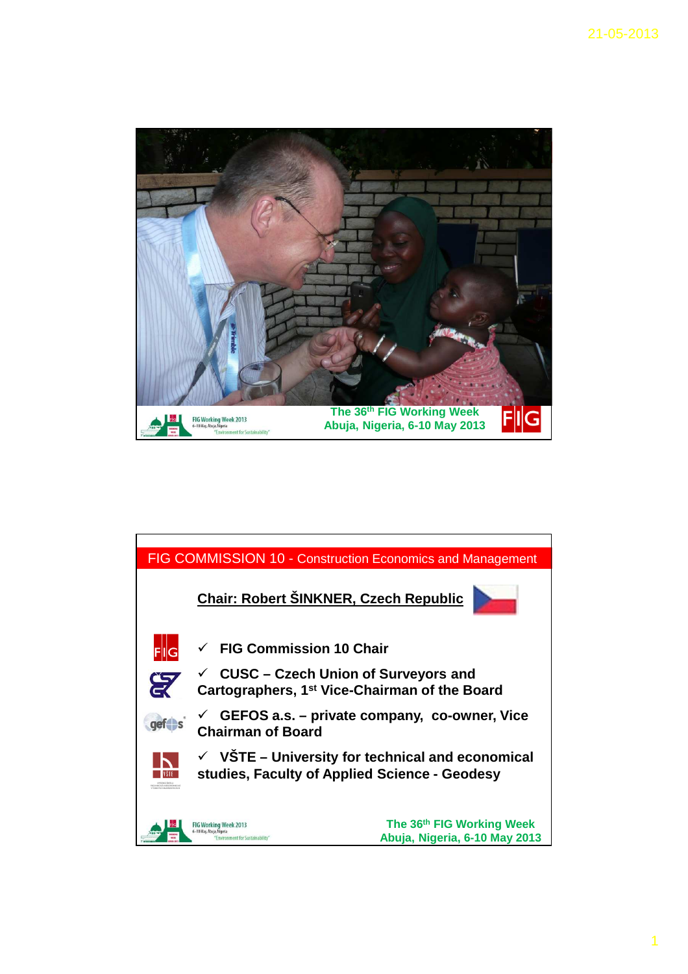

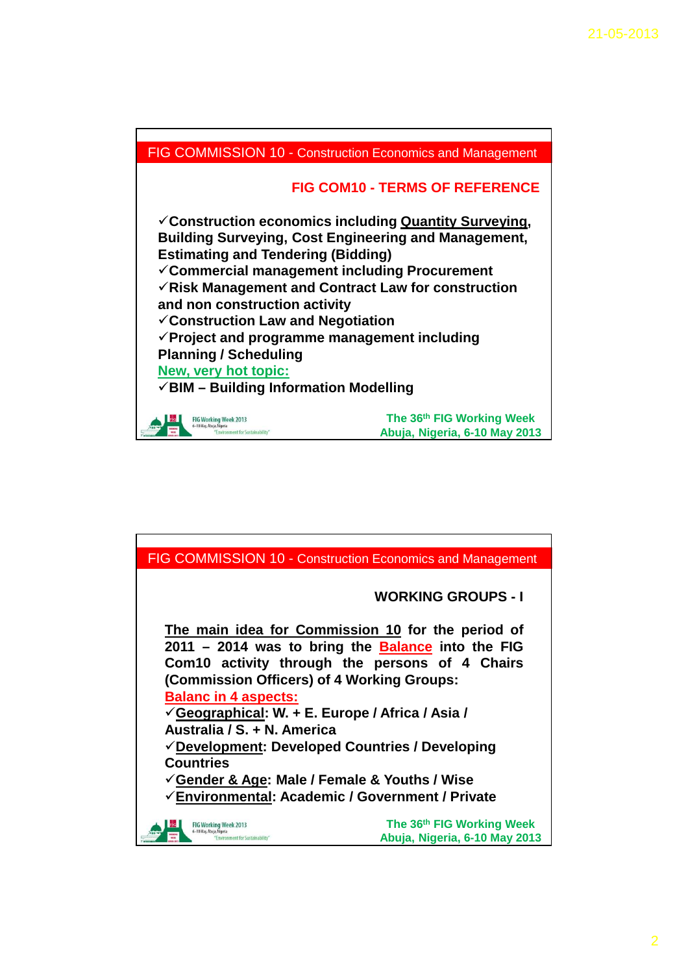

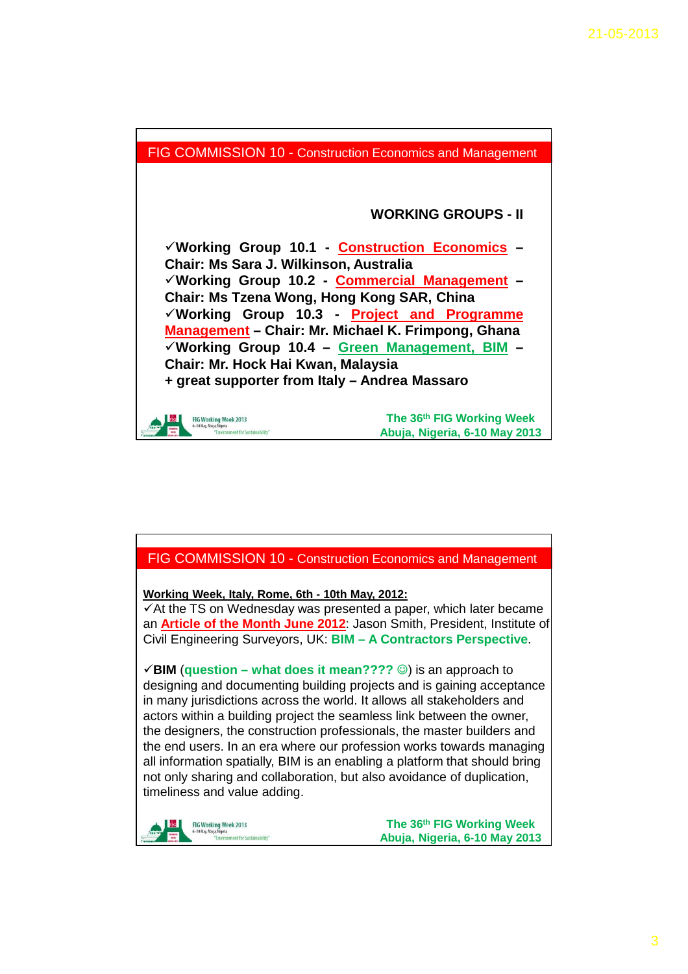



**Working Week, Italy, Rome, 6th - 10th May, 2012:**

 $\checkmark$  At the TS on Wednesday was presented a paper, which later became an **Article of the Month June 2012**: Jason Smith, President, Institute of Civil Engineering Surveyors, UK: **BIM – A Contractors Perspective**.

 $\checkmark$  **BIM** (question – what does it mean????  $\circledcirc$ ) is an approach to designing and documenting building projects and is gaining acceptance in many jurisdictions across the world. It allows all stakeholders and actors within a building project the seamless link between the owner, the designers, the construction professionals, the master builders and the end users. In an era where our profession works towards managing all information spatially, BIM is an enabling a platform that should bring not only sharing and collaboration, but also avoidance of duplication, timeliness and value adding.



**The 36th FIG Working Week Abuja, Nigeria, 6-10 May 2013**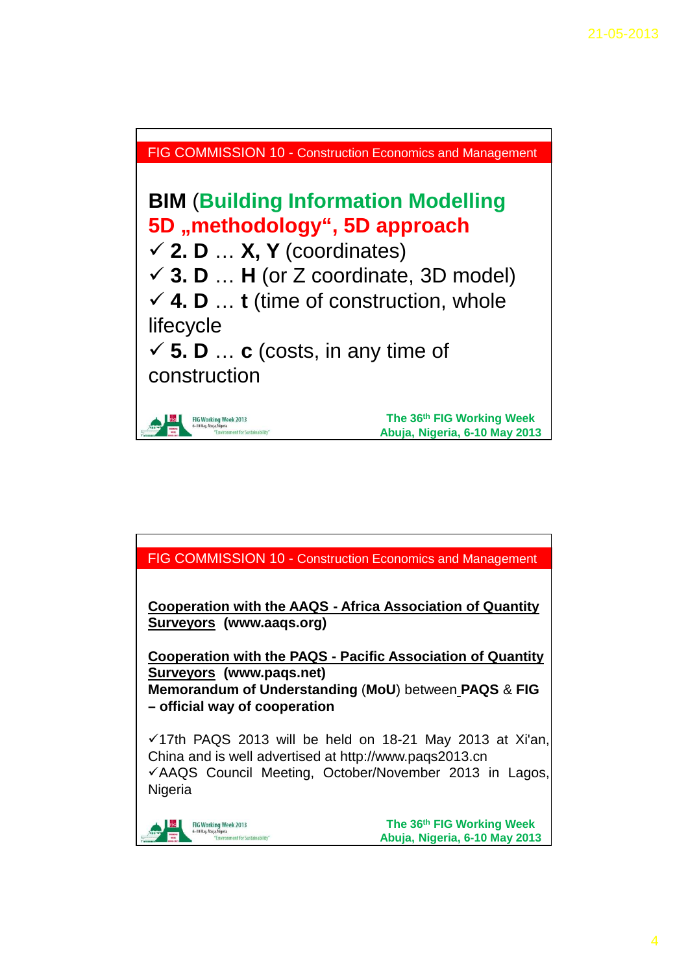

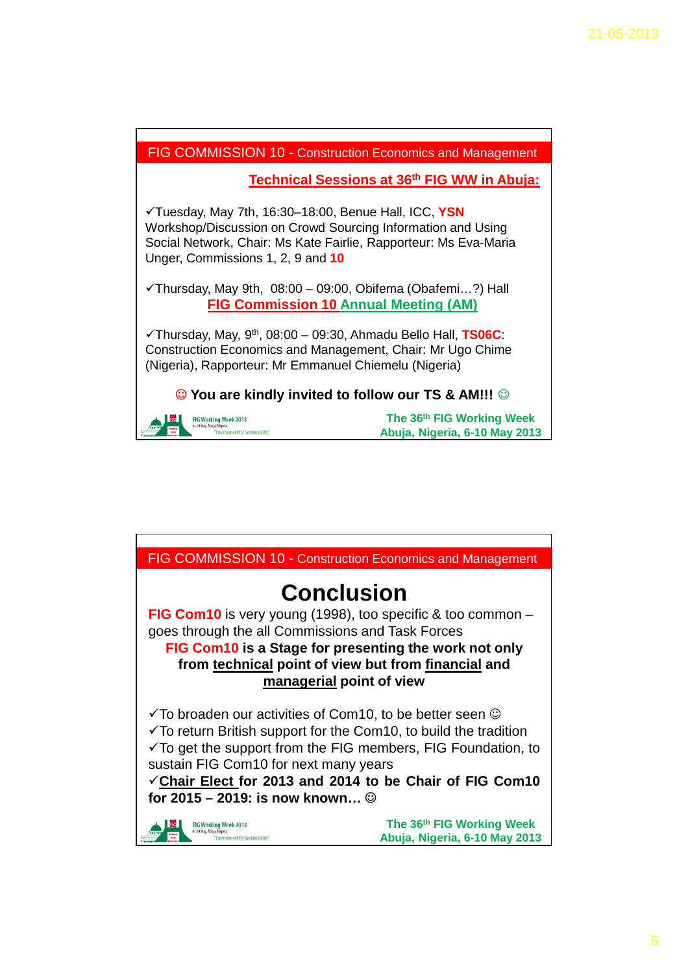